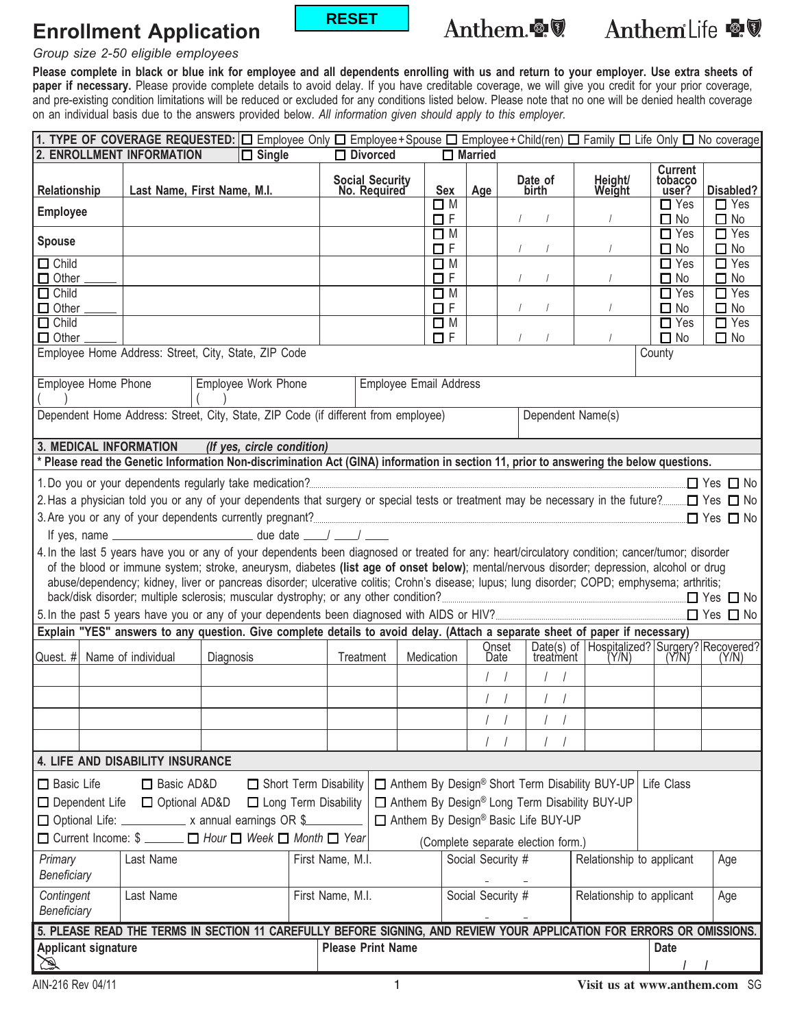# **Enrollment Application**



# Anthem.

AnthemLife <a

#### *Group size 2-50 eligible employees*

**Please complete in black or blue ink for employee and all dependents enrolling with us and return to your employer. Use extra sheets of** paper if necessary. Please provide complete details to avoid delay. If you have creditable coverage, we will give you credit for your prior coverage, and pre-existing condition limitations will be reduced or excluded for any conditions listed below. Please note that no one will be denied health coverage on an individual basis due to the answers provided below. *All information given should apply to this employer.*

|                                                                                                                              | 1. TYPE OF COVERAGE REQUESTED: $\Box$ Employee Only $\Box$ Employee + Spouse $\Box$ Employee + Child(ren) $\Box$ Family $\Box$ Life Only $\Box$ No coverage |                     |  |                                       |                                 |                                |                   |              |                           |                                                                                   |                                    |                         |
|------------------------------------------------------------------------------------------------------------------------------|-------------------------------------------------------------------------------------------------------------------------------------------------------------|---------------------|--|---------------------------------------|---------------------------------|--------------------------------|-------------------|--------------|---------------------------|-----------------------------------------------------------------------------------|------------------------------------|-------------------------|
| 2. ENROLLMENT INFORMATION<br>$\Box$ Divorced<br>$\Box$ Married<br>$\Box$ Single                                              |                                                                                                                                                             |                     |  |                                       |                                 |                                |                   |              |                           |                                                                                   |                                    |                         |
| Relationship                                                                                                                 | Last Name, First Name, M.I.                                                                                                                                 |                     |  |                                       | Social Security<br>No. Required | <b>Sex</b>                     | Age               |              | Date of<br>birth          | Height/<br>Weight                                                                 | <b>Current</b><br>tobacco<br>user? | Disabled?               |
| <b>Employee</b>                                                                                                              |                                                                                                                                                             |                     |  |                                       |                                 | $\square$ M<br>$\Box$ F        |                   |              |                           |                                                                                   | $\Box$ Yes<br>$\Box$ No            | $\Box$ Yes<br>$\Box$ No |
| <b>Spouse</b>                                                                                                                |                                                                                                                                                             |                     |  |                                       |                                 | $\square$ M<br>$\Box$<br><br>F |                   |              |                           |                                                                                   | $\Box$ Yes<br>$\Box$ No            | $\Box$ Yes<br>$\Box$ No |
| $\Box$ Child<br>$\Box$ Other                                                                                                 |                                                                                                                                                             |                     |  |                                       |                                 | $\square$ M<br>ΠF              |                   |              |                           |                                                                                   | $\Box$ Yes<br>$\Box$ No            | $\Box$ Yes<br>$\Box$ No |
| $\Box$ Child<br>$\Box$ Other                                                                                                 |                                                                                                                                                             |                     |  |                                       |                                 | $\Box$ M<br>$\Box$ F           |                   |              |                           |                                                                                   | $\Box$ Yes<br>$\Box$ No            | $\Box$ Yes<br>$\Box$ No |
| $\Box$ Child<br>$\Box$ Other                                                                                                 |                                                                                                                                                             |                     |  |                                       |                                 | $\square$ M<br>$\Box$ F        |                   |              |                           |                                                                                   | $\Box$ Yes<br>$\Box$ No            | $\Box$ Yes<br>$\Box$ No |
| Employee Home Address: Street, City, State, ZIP Code<br>County                                                               |                                                                                                                                                             |                     |  |                                       |                                 |                                |                   |              |                           |                                                                                   |                                    |                         |
| Employee Home Phone                                                                                                          |                                                                                                                                                             | Employee Work Phone |  |                                       | <b>Employee Email Address</b>   |                                |                   |              |                           |                                                                                   |                                    |                         |
|                                                                                                                              | Dependent Home Address: Street, City, State, ZIP Code (if different from employee)<br>Dependent Name(s)                                                     |                     |  |                                       |                                 |                                |                   |              |                           |                                                                                   |                                    |                         |
| 3. MEDICAL INFORMATION<br>(If yes, circle condition)                                                                         |                                                                                                                                                             |                     |  |                                       |                                 |                                |                   |              |                           |                                                                                   |                                    |                         |
|                                                                                                                              | Please read the Genetic Information Non-discrimination Act (GINA) information in section 11, prior to answering the below questions.                        |                     |  |                                       |                                 |                                |                   |              |                           |                                                                                   |                                    |                         |
|                                                                                                                              |                                                                                                                                                             |                     |  |                                       |                                 |                                |                   |              |                           |                                                                                   |                                    |                         |
|                                                                                                                              |                                                                                                                                                             |                     |  |                                       |                                 |                                |                   |              |                           |                                                                                   |                                    |                         |
|                                                                                                                              |                                                                                                                                                             |                     |  |                                       |                                 |                                |                   |              |                           |                                                                                   |                                    |                         |
|                                                                                                                              | If yes, name _________________________________ due date ____/ ____/ _____                                                                                   |                     |  |                                       |                                 |                                |                   |              |                           |                                                                                   |                                    |                         |
|                                                                                                                              | 4. In the last 5 years have you or any of your dependents been diagnosed or treated for any: heart/circulatory condition; cancer/tumor; disorder            |                     |  |                                       |                                 |                                |                   |              |                           |                                                                                   |                                    |                         |
|                                                                                                                              | of the blood or immune system; stroke, aneurysm, diabetes (list age of onset below); mental/nervous disorder; depression, alcohol or drug                   |                     |  |                                       |                                 |                                |                   |              |                           |                                                                                   |                                    |                         |
|                                                                                                                              | abuse/dependency; kidney, liver or pancreas disorder; ulcerative colitis; Crohn's disease; lupus; lung disorder; COPD; emphysema; arthritis;                |                     |  |                                       |                                 |                                |                   |              |                           |                                                                                   |                                    |                         |
|                                                                                                                              |                                                                                                                                                             |                     |  |                                       |                                 |                                |                   |              |                           |                                                                                   |                                    |                         |
|                                                                                                                              |                                                                                                                                                             |                     |  |                                       |                                 |                                |                   |              |                           |                                                                                   |                                    |                         |
|                                                                                                                              | Explain "YES" answers to any question. Give complete details to avoid delay. (Attach a separate sheet of paper if necessary)                                |                     |  |                                       |                                 |                                |                   | <b>Qnset</b> |                           |                                                                                   |                                    |                         |
| Quest. # Name of individual                                                                                                  |                                                                                                                                                             | Diagnosis           |  | Treatment                             |                                 | Medication                     |                   | Date         |                           | Date(s) of Hospitalized? Surgery? Recovered?<br>treatment (Y/N) (Y/N) (Y/N) (Y/N) |                                    |                         |
|                                                                                                                              |                                                                                                                                                             |                     |  |                                       |                                 |                                | $\prime$          |              | $\prime$                  |                                                                                   |                                    |                         |
|                                                                                                                              |                                                                                                                                                             |                     |  |                                       |                                 |                                |                   |              |                           |                                                                                   |                                    |                         |
|                                                                                                                              |                                                                                                                                                             |                     |  |                                       |                                 |                                |                   |              |                           |                                                                                   |                                    |                         |
|                                                                                                                              | 4. LIFE AND DISABILITY INSURANCE                                                                                                                            |                     |  |                                       |                                 |                                |                   |              |                           |                                                                                   |                                    |                         |
| □ Basic AD&D<br>Short Term Disability<br>□ Anthem By Design® Short Term Disability BUY-UP<br>Life Class<br>$\Box$ Basic Life |                                                                                                                                                             |                     |  |                                       |                                 |                                |                   |              |                           |                                                                                   |                                    |                         |
| □ Anthem By Design® Long Term Disability BUY-UP<br>□ Dependent Life □ Optional AD&D<br>□ Long Term Disability                |                                                                                                                                                             |                     |  |                                       |                                 |                                |                   |              |                           |                                                                                   |                                    |                         |
| □ Anthem By Design® Basic Life BUY-UP<br>□ Optional Life: ___________ x annual earnings OR \$                                |                                                                                                                                                             |                     |  |                                       |                                 |                                |                   |              |                           |                                                                                   |                                    |                         |
| □ Current Income: \$ _____ □ Hour □ Week □ Month □ Year                                                                      |                                                                                                                                                             |                     |  |                                       |                                 |                                |                   |              |                           |                                                                                   |                                    |                         |
|                                                                                                                              |                                                                                                                                                             |                     |  | (Complete separate election form.)    |                                 |                                |                   |              |                           |                                                                                   |                                    |                         |
| Primary<br>Beneficiary                                                                                                       | Last Name                                                                                                                                                   |                     |  | First Name, M.I.                      |                                 |                                | Social Security # |              |                           | Relationship to applicant                                                         |                                    | Age                     |
| Contingent<br>Beneficiary                                                                                                    | Last Name                                                                                                                                                   |                     |  | First Name, M.I.<br>Social Security # |                                 |                                |                   |              | Relationship to applicant |                                                                                   | Age                                |                         |
| 5. PLEASE READ THE TERMS IN SECTION 11 CAREFULLY BEFORE SIGNING, AND REVIEW YOUR APPLICATION FOR ERRORS OR OMISSIONS.        |                                                                                                                                                             |                     |  |                                       |                                 |                                |                   |              |                           |                                                                                   |                                    |                         |
| <b>Please Print Name</b><br><b>Applicant signature</b>                                                                       |                                                                                                                                                             |                     |  |                                       |                                 | <b>Date</b>                    |                   |              |                           |                                                                                   |                                    |                         |
| $\mathbb{Z}$                                                                                                                 |                                                                                                                                                             |                     |  |                                       |                                 |                                |                   |              |                           |                                                                                   |                                    |                         |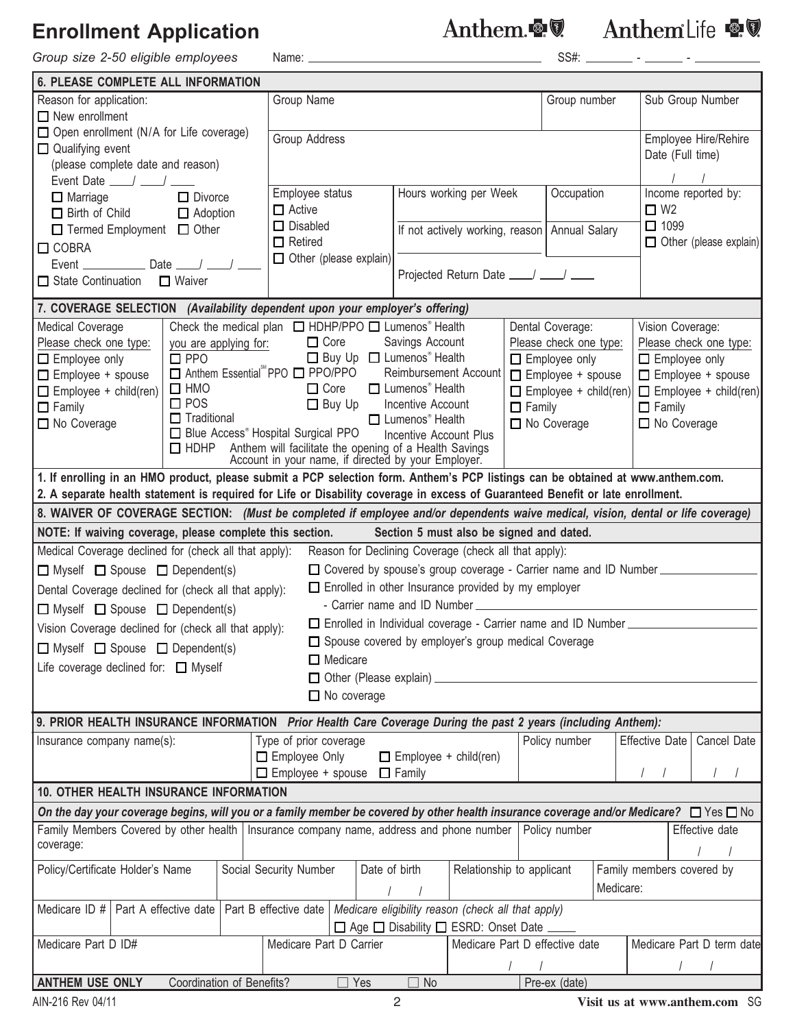## **Enrollment Application**

*Group size 2-50 eligible employees* Name: SS#: - -

Anthem. 19 Anthem Life 19

| <b>6. PLEASE COMPLETE ALL INFORMATION</b>                                                                                                                                                                                                                         |                                                                                                               |                                                                                       |                                                            |                                                                |                                                          |  |  |  |  |  |  |
|-------------------------------------------------------------------------------------------------------------------------------------------------------------------------------------------------------------------------------------------------------------------|---------------------------------------------------------------------------------------------------------------|---------------------------------------------------------------------------------------|------------------------------------------------------------|----------------------------------------------------------------|----------------------------------------------------------|--|--|--|--|--|--|
| Reason for application:                                                                                                                                                                                                                                           |                                                                                                               | Group Name                                                                            |                                                            | Group number                                                   | Sub Group Number                                         |  |  |  |  |  |  |
| $\Box$ New enrollment                                                                                                                                                                                                                                             |                                                                                                               |                                                                                       |                                                            |                                                                |                                                          |  |  |  |  |  |  |
| $\Box$ Open enrollment (N/A for Life coverage)                                                                                                                                                                                                                    |                                                                                                               | <b>Group Address</b>                                                                  | Employee Hire/Rehire                                       |                                                                |                                                          |  |  |  |  |  |  |
| $\Box$ Qualifying event                                                                                                                                                                                                                                           |                                                                                                               |                                                                                       | Date (Full time)                                           |                                                                |                                                          |  |  |  |  |  |  |
| (please complete date and reason)                                                                                                                                                                                                                                 |                                                                                                               |                                                                                       |                                                            |                                                                |                                                          |  |  |  |  |  |  |
| Event Date $\_\_\_\_\_\_\_\_\_\_\_\_\_\_\_\_\_\_\_\_\_$                                                                                                                                                                                                           |                                                                                                               |                                                                                       |                                                            |                                                                |                                                          |  |  |  |  |  |  |
| $\Box$ Marriage                                                                                                                                                                                                                                                   | $\Box$ Divorce                                                                                                | Employee status                                                                       | Hours working per Week                                     | Occupation                                                     | Income reported by:                                      |  |  |  |  |  |  |
| $\Box$ Birth of Child                                                                                                                                                                                                                                             | $\Box$ Adoption                                                                                               | $\Box$ Active                                                                         |                                                            |                                                                | $\Box$ W <sub>2</sub>                                    |  |  |  |  |  |  |
| $\Box$ Termed Employment $\Box$ Other                                                                                                                                                                                                                             |                                                                                                               | $\Box$ Disabled<br>$\Box$ Retired                                                     |                                                            | If not actively working, reason   Annual Salary                | $\Box$ 1099                                              |  |  |  |  |  |  |
| $\Box$ COBRA                                                                                                                                                                                                                                                      |                                                                                                               | $\Box$ Other (please explain)                                                         |                                                            |                                                                | $\Box$ Other (please explain)                            |  |  |  |  |  |  |
| Event $\frac{1}{2}$ Date $\frac{1}{2}$                                                                                                                                                                                                                            |                                                                                                               |                                                                                       | Projected Return Date ___/ ___/ ____                       |                                                                |                                                          |  |  |  |  |  |  |
| □ State Continuation                                                                                                                                                                                                                                              | □ Waiver                                                                                                      |                                                                                       |                                                            |                                                                |                                                          |  |  |  |  |  |  |
| 7. COVERAGE SELECTION (Availability dependent upon your employer's offering)                                                                                                                                                                                      |                                                                                                               |                                                                                       |                                                            |                                                                |                                                          |  |  |  |  |  |  |
| <b>Medical Coverage</b>                                                                                                                                                                                                                                           |                                                                                                               | Check the medical plan □ HDHP/PPO □ Lumenos® Health                                   |                                                            | Dental Coverage:                                               | Vision Coverage:                                         |  |  |  |  |  |  |
| Please check one type:                                                                                                                                                                                                                                            | you are applying for:                                                                                         | $\Box$ Core                                                                           | Savings Account                                            | Please check one type:                                         | Please check one type:                                   |  |  |  |  |  |  |
| $\Box$ Employee only                                                                                                                                                                                                                                              | $\square$ PPO                                                                                                 | $\Box$ Buy Up $\Box$ Lumenos <sup>®</sup> Health                                      |                                                            | Employee only                                                  | $\Box$ Employee only                                     |  |  |  |  |  |  |
| $\Box$ Employee + spouse                                                                                                                                                                                                                                          |                                                                                                               | □ Anthem Essential PPO □ PPO/PPO<br>Reimbursement Account<br>$\Box$ Employee + spouse |                                                            |                                                                |                                                          |  |  |  |  |  |  |
| $\Box$ Employee + child(ren)                                                                                                                                                                                                                                      | $\square$ HMO                                                                                                 | $\Box$ Core                                                                           | □ Lumenos <sup>®</sup> Health                              | $\Box$ Employee + child(ren)                                   | $\Box$ Employee + spouse<br>$\Box$ Employee + child(ren) |  |  |  |  |  |  |
| $\Box$ Family                                                                                                                                                                                                                                                     | $\square$ POS                                                                                                 | $\Box$ Buy Up                                                                         | Incentive Account                                          | $\Box$ Family                                                  | $\Box$ Family                                            |  |  |  |  |  |  |
| No Coverage                                                                                                                                                                                                                                                       | $\Box$ Traditional                                                                                            | □ Blue Access <sup>®</sup> Hospital Surgical PPO                                      | $\Box$ Lumenos <sup>®</sup> Health                         | $\Box$ No Coverage                                             | $\Box$ No Coverage                                       |  |  |  |  |  |  |
|                                                                                                                                                                                                                                                                   | $\Box$ HDHP                                                                                                   |                                                                                       | Incentive Account Plus                                     |                                                                |                                                          |  |  |  |  |  |  |
|                                                                                                                                                                                                                                                                   | Anthem will facilitate the opening of a Health Savings<br>Account in your name, if directed by your Employer. |                                                                                       |                                                            |                                                                |                                                          |  |  |  |  |  |  |
| 1. If enrolling in an HMO product, please submit a PCP selection form. Anthem's PCP listings can be obtained at www.anthem.com.<br>2. A separate health statement is required for Life or Disability coverage in excess of Guaranteed Benefit or late enrollment. |                                                                                                               |                                                                                       |                                                            |                                                                |                                                          |  |  |  |  |  |  |
|                                                                                                                                                                                                                                                                   |                                                                                                               |                                                                                       |                                                            |                                                                |                                                          |  |  |  |  |  |  |
| 8. WAIVER OF COVERAGE SECTION: (Must be completed if employee and/or dependents waive medical, vision, dental or life coverage)                                                                                                                                   |                                                                                                               |                                                                                       |                                                            |                                                                |                                                          |  |  |  |  |  |  |
| NOTE: If waiving coverage, please complete this section. Section 5 must also be signed and dated.                                                                                                                                                                 |                                                                                                               |                                                                                       |                                                            |                                                                |                                                          |  |  |  |  |  |  |
| Medical Coverage declined for (check all that apply):<br>Reason for Declining Coverage (check all that apply):<br>□ Covered by spouse's group coverage - Carrier name and ID Number<br>$\Box$ Myself $\Box$ Spouse $\Box$ Dependent(s)                            |                                                                                                               |                                                                                       |                                                            |                                                                |                                                          |  |  |  |  |  |  |
|                                                                                                                                                                                                                                                                   |                                                                                                               |                                                                                       |                                                            |                                                                |                                                          |  |  |  |  |  |  |
| Dental Coverage declined for (check all that apply):                                                                                                                                                                                                              |                                                                                                               |                                                                                       | $\Box$ Enrolled in other Insurance provided by my employer |                                                                |                                                          |  |  |  |  |  |  |
| $\Box$ Myself $\Box$ Spouse $\Box$ Dependent(s)                                                                                                                                                                                                                   |                                                                                                               |                                                                                       | - Carrier name and ID Number                               |                                                                |                                                          |  |  |  |  |  |  |
| Vision Coverage declined for (check all that apply):                                                                                                                                                                                                              |                                                                                                               |                                                                                       |                                                            | □ Enrolled in Individual coverage - Carrier name and ID Number |                                                          |  |  |  |  |  |  |
| $\Box$ Myself $\Box$ Spouse $\Box$ Dependent(s)                                                                                                                                                                                                                   |                                                                                                               |                                                                                       | □ Spouse covered by employer's group medical Coverage      |                                                                |                                                          |  |  |  |  |  |  |
| Life coverage declined for: $\Box$ Myself                                                                                                                                                                                                                         |                                                                                                               | $\Box$ Medicare                                                                       |                                                            |                                                                |                                                          |  |  |  |  |  |  |
|                                                                                                                                                                                                                                                                   |                                                                                                               | □ Other (Please explain)                                                              |                                                            |                                                                |                                                          |  |  |  |  |  |  |
| $\Box$ No coverage                                                                                                                                                                                                                                                |                                                                                                               |                                                                                       |                                                            |                                                                |                                                          |  |  |  |  |  |  |
| 9. PRIOR HEALTH INSURANCE INFORMATION Prior Health Care Coverage During the past 2 years (including Anthem):                                                                                                                                                      |                                                                                                               |                                                                                       |                                                            |                                                                |                                                          |  |  |  |  |  |  |
| Insurance company name(s):                                                                                                                                                                                                                                        |                                                                                                               | Type of prior coverage                                                                |                                                            | Policy number                                                  | Effective Date<br>Cancel Date                            |  |  |  |  |  |  |
|                                                                                                                                                                                                                                                                   |                                                                                                               | Employee Only                                                                         | $\Box$ Employee + child(ren)                               |                                                                |                                                          |  |  |  |  |  |  |
| $\Box$ Employee + spouse $\Box$ Family                                                                                                                                                                                                                            |                                                                                                               |                                                                                       |                                                            |                                                                |                                                          |  |  |  |  |  |  |
| <b>10. OTHER HEALTH INSURANCE INFORMATION</b>                                                                                                                                                                                                                     |                                                                                                               |                                                                                       |                                                            |                                                                |                                                          |  |  |  |  |  |  |
| On the day your coverage begins, will you or a family member be covered by other health insurance coverage and/or Medicare? $\Box$ Yes $\Box$ No<br>Policy number<br>Effective date                                                                               |                                                                                                               |                                                                                       |                                                            |                                                                |                                                          |  |  |  |  |  |  |
| Family Members Covered by other health   Insurance company name, address and phone number<br>coverage:                                                                                                                                                            |                                                                                                               |                                                                                       |                                                            |                                                                |                                                          |  |  |  |  |  |  |
| Social Security Number<br>Date of birth<br>Family members covered by<br>Policy/Certificate Holder's Name<br>Relationship to applicant                                                                                                                             |                                                                                                               |                                                                                       |                                                            |                                                                |                                                          |  |  |  |  |  |  |
| Medicare:                                                                                                                                                                                                                                                         |                                                                                                               |                                                                                       |                                                            |                                                                |                                                          |  |  |  |  |  |  |
| Medicare ID $#$                                                                                                                                                                                                                                                   | Part A effective date                                                                                         | Part B effective date   Medicare eligibility reason (check all that apply)            |                                                            |                                                                |                                                          |  |  |  |  |  |  |
| □ Age □ Disability □ ESRD: Onset Date _                                                                                                                                                                                                                           |                                                                                                               |                                                                                       |                                                            |                                                                |                                                          |  |  |  |  |  |  |
| Medicare Part D ID#                                                                                                                                                                                                                                               |                                                                                                               | Medicare Part D Carrier                                                               |                                                            | Medicare Part D effective date                                 | Medicare Part D term date                                |  |  |  |  |  |  |
|                                                                                                                                                                                                                                                                   |                                                                                                               |                                                                                       |                                                            |                                                                |                                                          |  |  |  |  |  |  |
| <b>ANTHEM USE ONLY</b>                                                                                                                                                                                                                                            | Coordination of Benefits?                                                                                     | $\Box$ Yes                                                                            | $\exists$ No                                               | Pre-ex (date)                                                  |                                                          |  |  |  |  |  |  |